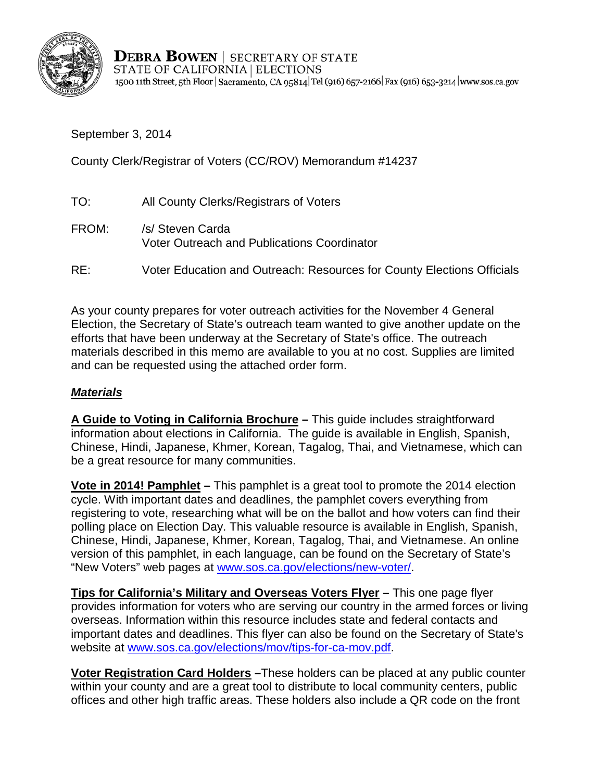

**DEBRA BOWEN** | SECRETARY OF STATE STATE OF CALIFORNIA | ELECTIONS 1500 11th Street, 5th Floor | Sacramento, CA 95814 | Tel (916) 657-2166 | Fax (916) 653-3214 | www.sos.ca.gov

September 3, 2014

County Clerk/Registrar of Voters (CC/ROV) Memorandum #14237

- TO: All County Clerks/Registrars of Voters FROM: /s/ Steven Carda Voter Outreach and Publications Coordinator
- RE: Voter Education and Outreach: Resources for County Elections Officials

As your county prepares for voter outreach activities for the November 4 General Election, the Secretary of State's outreach team wanted to give another update on the efforts that have been underway at the Secretary of State's office. The outreach materials described in this memo are available to you at no cost. Supplies are limited and can be requested using the attached order form.

### *Materials*

**A Guide to Voting in California Brochure –** This guide includes straightforward information about elections in California. The guide is available in English, Spanish, Chinese, Hindi, Japanese, Khmer, Korean, Tagalog, Thai, and Vietnamese, which can be a great resource for many communities.

**Vote in 2014! Pamphlet –** This pamphlet is a great tool to promote the 2014 election cycle. With important dates and deadlines, the pamphlet covers everything from registering to vote, researching what will be on the ballot and how voters can find their polling place on Election Day. This valuable resource is available in English, Spanish, Chinese, Hindi, Japanese, Khmer, Korean, Tagalog, Thai, and Vietnamese. An online version of this pamphlet, in each language, can be found on the Secretary of State's "New Voters" web pages at [www.sos.ca.gov/elections/new-voter/.](http://www.sos.ca.gov/elections/voting-resources/new-voters/)

**Tips for California's Military and Overseas Voters Flyer –** This one page flyer provides information for voters who are serving our country in the armed forces or living overseas. Information within this resource includes state and federal contacts and important dates and deadlines. This flyer can also be found on the Secretary of State's website at [www.sos.ca.gov/elections/mov/tips-for-ca-mov.pdf.](http://elections.cdn.sos.ca.gov/mov/tips-for-ca-mov.pdf)

**Voter Registration Card Holders –**These holders can be placed at any public counter within your county and are a great tool to distribute to local community centers, public offices and other high traffic areas. These holders also include a QR code on the front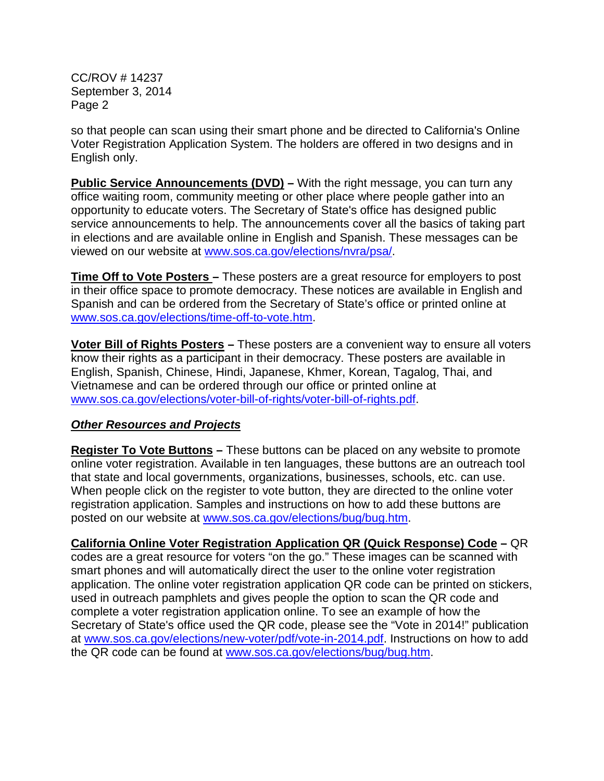CC/ROV # 14237 September 3, 2014 Page 2

so that people can scan using their smart phone and be directed to California's Online Voter Registration Application System. The holders are offered in two designs and in English only.

**Public Service Announcements (DVD)** – With the right message, you can turn any office waiting room, community meeting or other place where people gather into an opportunity to educate voters. The Secretary of State's office has designed public service announcements to help. The announcements cover all the basics of taking part in elections and are available online in English and Spanish. These messages can be viewed on our website at [www.sos.ca.gov/elections/nvra/psa/.](http://www.sos.ca.gov/elections/voter-registration/nvra/training/psa/)

**Time Off to Vote Posters –** These posters are a great resource for employers to post in their office space to promote democracy. These notices are available in English and Spanish and can be ordered from the Secretary of State's office or printed online at [www.sos.ca.gov/elections/time-off-to-vote.htm.](http://www.sos.ca.gov/elections/time-vote-notices/)

**Voter Bill of Rights Posters –** These posters are a convenient way to ensure all voters know their rights as a participant in their democracy. These posters are available in English, Spanish, Chinese, Hindi, Japanese, Khmer, Korean, Tagalog, Thai, and Vietnamese and can be ordered through our office or printed online at [www.sos.ca.gov/elections/voter-bill-of-rights/voter-bill-of-rights.pdf.](http://elections.cdn.sos.ca.gov/voter-bill-of-rights/voter-bill-of-rights.pdf)

#### *Other Resources and Projects*

**Register To Vote Buttons –** These buttons can be placed on any website to promote online voter registration. Available in ten languages, these buttons are an outreach tool that state and local governments, organizations, businesses, schools, etc. can use. When people click on the register to vote button, they are directed to the online voter registration application. Samples and instructions on how to add these buttons are posted on our website at [www.sos.ca.gov/elections/bug/bug.htm.](http://www.sos.ca.gov/elections/register-vote-buttons/)

**California Online Voter Registration Application QR (Quick Response) Code –** QR codes are a great resource for voters "on the go." These images can be scanned with smart phones and will automatically direct the user to the online voter registration application. The online voter registration application QR code can be printed on stickers, used in outreach pamphlets and gives people the option to scan the QR code and complete a voter registration application online. To see an example of how the Secretary of State's office used the QR code, please see the "Vote in 2014!" publication at [www.sos.ca.gov/elections/new-voter/pdf/vote-in-2014.pdf.](http://elections.cdn.sos.ca.gov/new-voter/pdf/vote-in-2014.pdf) Instructions on how to add the QR code can be found at [www.sos.ca.gov/elections/bug/bug.htm.](http://www.sos.ca.gov/elections/register-vote-buttons/)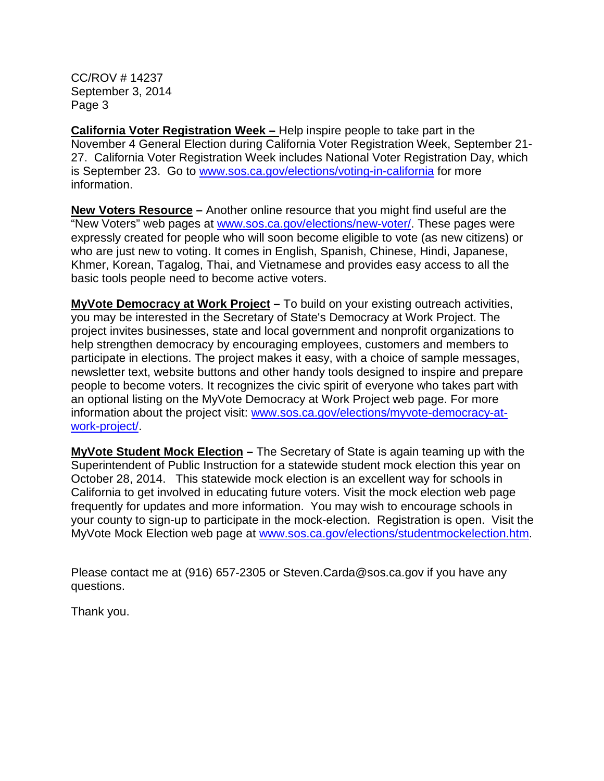CC/ROV # 14237 September 3, 2014 Page 3

**California Voter Registration Week –** Help inspire people to take part in the November 4 General Election during California Voter Registration Week, September 21- 27. California Voter Registration Week includes National Voter Registration Day, which is September 23. Go to [www.sos.ca.gov/elections/voting-in-california](http://www.sos.ca.gov/elections/voting-resources/voting-california/) for more information.

**New Voters Resource –** Another online resource that you might find useful are the "New Voters" web pages at [www.sos.ca.gov/elections/new-voter/.](http://www.sos.ca.gov/elections/voting-resources/new-voters/) These pages were expressly created for people who will soon become eligible to vote (as new citizens) or who are just new to voting. It comes in English, Spanish, Chinese, Hindi, Japanese, Khmer, Korean, Tagalog, Thai, and Vietnamese and provides easy access to all the basic tools people need to become active voters.

**MyVote Democracy at Work Project –** To build on your existing outreach activities, you may be interested in the Secretary of State's Democracy at Work Project. The project invites businesses, state and local government and nonprofit organizations to help strengthen democracy by encouraging employees, customers and members to participate in elections. The project makes it easy, with a choice of sample messages, newsletter text, website buttons and other handy tools designed to inspire and prepare people to become voters. It recognizes the civic spirit of everyone who takes part with an optional listing on the MyVote Democracy at Work Project web page. For more information about the project visit: [www.sos.ca.gov/elections/myvote-democracy-at](http://www.sos.ca.gov/elections/myvote-democracy-work-project/)[work-project/.](http://www.sos.ca.gov/elections/myvote-democracy-work-project/)

**MyVote Student Mock Election –** The Secretary of State is again teaming up with the Superintendent of Public Instruction for a statewide student mock election this year on October 28, 2014. This statewide mock election is an excellent way for schools in California to get involved in educating future voters. Visit the mock election web page frequently for updates and more information. You may wish to encourage schools in your county to sign-up to participate in the mock-election. Registration is open. Visit the MyVote Mock Election web page at [www.sos.ca.gov/elections/studentmockelection.htm.](http://www.sos.ca.gov/elections/student-mock-election/)

Please contact me at (916) 657-2305 or Steven.Carda@sos.ca.gov if you have any questions.

Thank you.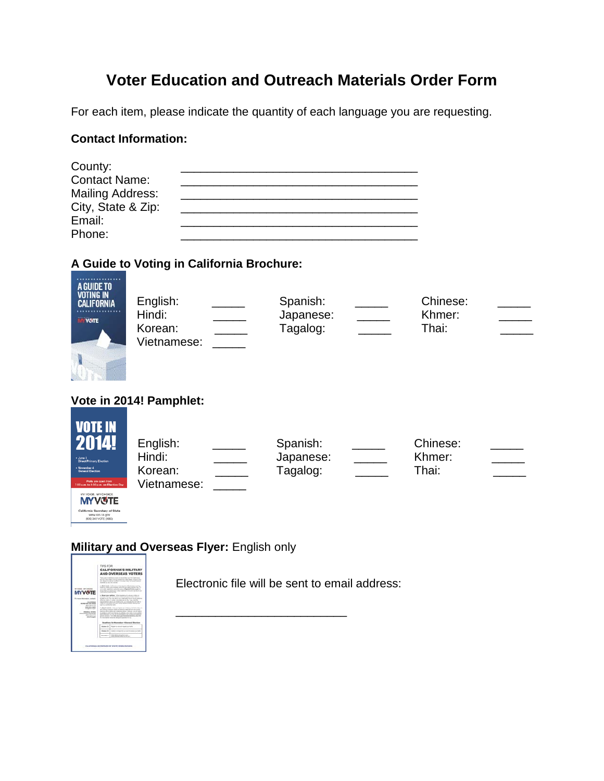# **Voter Education and Outreach Materials Order Form**

For each item, please indicate the quantity of each language you are requesting.

# **Contact Information:**

| County:                 |  |
|-------------------------|--|
| <b>Contact Name:</b>    |  |
| <b>Mailing Address:</b> |  |
| City, State & Zip:      |  |
| Email:                  |  |
| Phone:                  |  |

## **A Guide to Voting in California Brochure:**

| A GUIDE TO<br>VOTING IN<br><b>CALIFORNIA</b><br><b>MY VOITE</b>                                                                                                                                                     | English:<br>Hindi:<br>Korean:<br>Vietnamese: |  | Spanish:<br>Japanese:<br>Tagalog: |  | Chinese:<br>Khmer:<br>Thai: |  |  |  |
|---------------------------------------------------------------------------------------------------------------------------------------------------------------------------------------------------------------------|----------------------------------------------|--|-----------------------------------|--|-----------------------------|--|--|--|
| Vote in 2014! Pamphlet:                                                                                                                                                                                             |                                              |  |                                   |  |                             |  |  |  |
| <b>VOTE IN</b><br>2014!<br>+ June 3<br><b>Direct Primary Election</b><br>November 4<br><b>General Election</b><br>Polls are open from<br>0 a.m. to 8:00 p.m. on Election Da<br>NY VOICE. MY CHOICE<br><b>MYVGTE</b> | English:<br>Hindi:<br>Korean:<br>Vietnamese: |  | Spanish:<br>Japanese:<br>Tagalog: |  | Chinese:<br>Khmer:<br>Thai: |  |  |  |

# **Military and Overseas Flyer:** English only



California Secretary of State<br>
www.scis.cn.gov<br>
(800)345-YOTE (8683)

Electronic file will be sent to email address:

\_\_\_\_\_\_\_\_\_\_\_\_\_\_\_\_\_\_\_\_\_\_\_\_\_\_